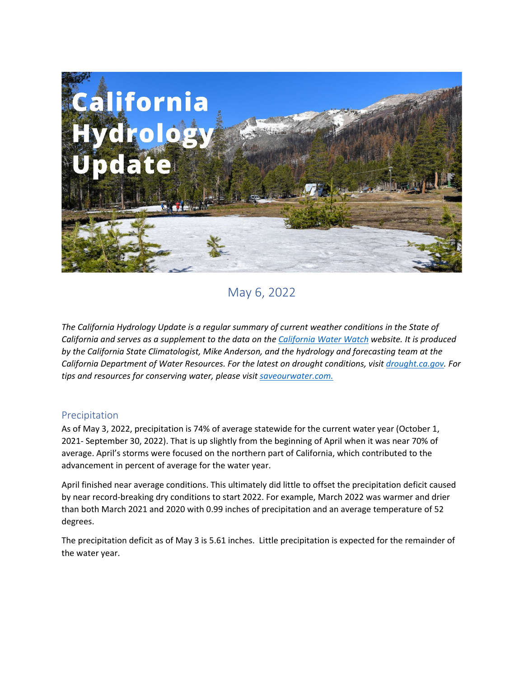

May 6, 2022

*The California Hydrology Update is a regular summary of current weather conditions in the State of California and serves as a supplement to the data on the [California Water Watch](https://cww.water.ca.gov/) website. It is produced by the California State Climatologist, Mike Anderson, and the hydrology and forecasting team at the California Department of Water Resources. For the latest on drought conditions, visit [drought.ca.gov.](https://drought.ca.gov/) For tips and resources for conserving water, please visi[t saveourwater.com.](https://saveourwater.com/)*

# Precipitation

As of May 3, 2022, precipitation is 74% of average statewide for the current water year (October 1, 2021- September 30, 2022). That is up slightly from the beginning of April when it was near 70% of average. April's storms were focused on the northern part of California, which contributed to the advancement in percent of average for the water year.

April finished near average conditions. This ultimately did little to offset the precipitation deficit caused by near record-breaking dry conditions to start 2022. For example, March 2022 was warmer and drier than both March 2021 and 2020 with 0.99 inches of precipitation and an average temperature of 52 degrees.

The precipitation deficit as of May 3 is 5.61 inches. Little precipitation is expected for the remainder of the water year.